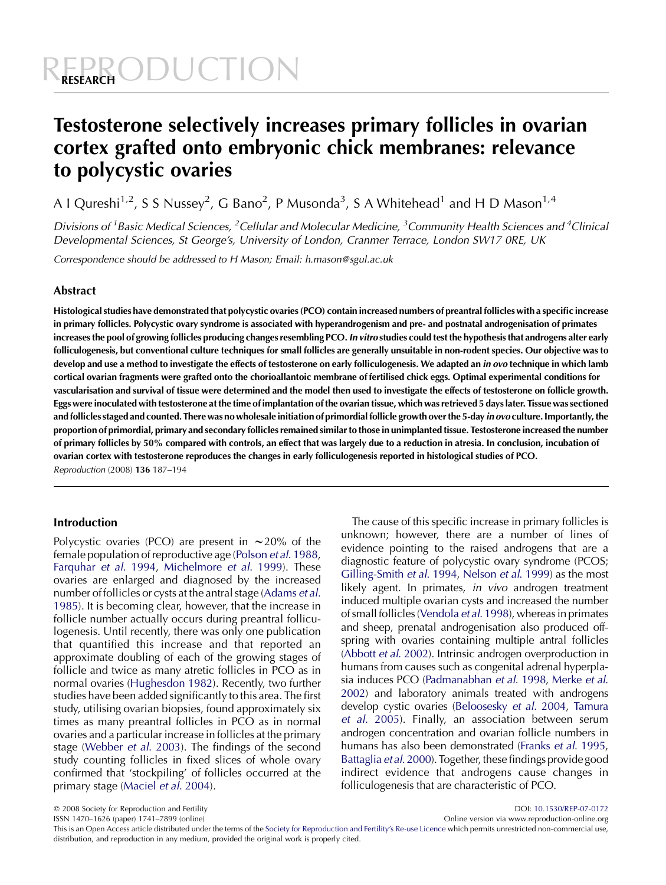# Testosterone selectively increases primary follicles in ovarian cortex grafted onto embryonic chick membranes: relevance to polycystic ovaries

A I Qureshi<sup>1,2</sup>, S S Nussey<sup>2</sup>, G Bano<sup>2</sup>, P Musonda<sup>3</sup>, S A Whitehead<sup>1</sup> and H D Mason<sup>1,4</sup>

Divisions of <sup>1</sup> Basic Medical Sciences, <sup>2</sup> Cellular and Molecular Medicine, <sup>3</sup> Community Health Sciences and <sup>4</sup> Clinical Developmental Sciences, St George's, University of London, Cranmer Terrace, London SW17 0RE, UK

Correspondence should be addressed to H Mason; Email: h.mason@sgul.ac.uk

# Abstract

Histological studies have demonstrated that polycystic ovaries (PCO) contain increased numbers of preantral follicles with a specific increase in primary follicles. Polycystic ovary syndrome is associated with hyperandrogenism and pre- and postnatal androgenisation of primates increases the pool of growing follicles producing changes resembling PCO. In vitro studies could test the hypothesis that androgens alter early folliculogenesis, but conventional culture techniques for small follicles are generally unsuitable in non-rodent species. Our objective was to develop and use a method to investigate the effects of testosterone on early folliculogenesis. We adapted an in ovo technique in which lamb cortical ovarian fragments were grafted onto the chorioallantoic membrane of fertilised chick eggs. Optimal experimental conditions for vascularisation and survival of tissue were determined and the model then used to investigate the effects of testosterone on follicle growth. Eggs were inoculated with testosterone at the time of implantation of the ovarian tissue, which was retrieved 5 days later. Tissue was sectioned and follicles staged and counted. There was no wholesale initiation of primordial follicle growth over the 5-day in ovo culture. Importantly, the proportion of primordial, primary and secondary follicles remained similar to those in unimplanted tissue. Testosterone increased the number of primary follicles by 50% compared with controls, an effect that was largely due to a reduction in atresia. In conclusion, incubation of ovarian cortex with testosterone reproduces the changes in early folliculogenesis reported in histological studies of PCO. Reproduction (2008) 136 187–194

# Introduction

Polycystic ovaries (PCO) are present in  $\sim$  20% of the female population of reproductive age ([Polson](#page-6-0) et al. 1988, [Farquhar](#page-6-0) et al. 1994, [Michelmore](#page-6-0) et al. 1999). These ovaries are enlarged and diagnosed by the increased number offollicles or cysts at the antral stage ([Adams](#page-6-0) et al. [1985\)](#page-6-0). It is becoming clear, however, that the increase in follicle number actually occurs during preantral folliculogenesis. Until recently, there was only one publication that quantified this increase and that reported an approximate doubling of each of the growing stages of follicle and twice as many atretic follicles in PCO as in normal ovaries [\(Hughesdon 1982](#page-6-0)). Recently, two further studies have been added significantly to this area. The first study, utilising ovarian biopsies, found approximately six times as many preantral follicles in PCO as in normal ovaries and a particular increase in follicles at the primary stage ([Webber](#page-7-0) et al. 2003). The findings of the second study counting follicles in fixed slices of whole ovary confirmed that 'stockpiling' of follicles occurred at the primary stage [\(Maciel](#page-6-0) et al. 2004).

The cause of this specific increase in primary follicles is unknown; however, there are a number of lines of evidence pointing to the raised androgens that are a diagnostic feature of polycystic ovary syndrome (PCOS; [Gilling-Smith](#page-6-0) et al. 1994, [Nelson](#page-6-0) et al. 1999) as the most likely agent. In primates, *in vivo* androgen treatment induced multiple ovarian cysts and increased the number of small follicles [\(Vendola](#page-7-0) et al. 1998), whereas in primates and sheep, prenatal androgenisation also produced offspring with ovaries containing multiple antral follicles ([Abbott](#page-6-0) et al. 2002). Intrinsic androgen overproduction in humans from causes such as congenital adrenal hyperplasia induces PCO [\(Padmanabhan](#page-6-0) et al. 1998, [Merke](#page-6-0) et al. [2002](#page-6-0)) and laboratory animals treated with androgens develop cystic ovaries [\(Beloosesky](#page-6-0) et al. 2004, [Tamura](#page-7-0) et al[. 2005](#page-7-0)). Finally, an association between serum androgen concentration and ovarian follicle numbers in humans has also been demonstrated (Franks et al[. 1995](#page-6-0), [Battaglia](#page-6-0) et al. 2000). Together, these findings provide good indirect evidence that androgens cause changes in folliculogenesis that are characteristic of PCO.

q 2008 Society for Reproduction and Fertility DOI: [10.1530/REP-07-0172](http://dx.doi.org/10.1530/REP-07-0172)

Online version via www.reproduction-online.org This is an Open Access article distributed under the terms of the [Society for Reproduction and Fertility's Re-use Licence](http://www.bioscientifica.com/journals/reuselicencerep/) which permits unrestricted non-commercial use, distribution, and reproduction in any medium, provided the original work is properly cited.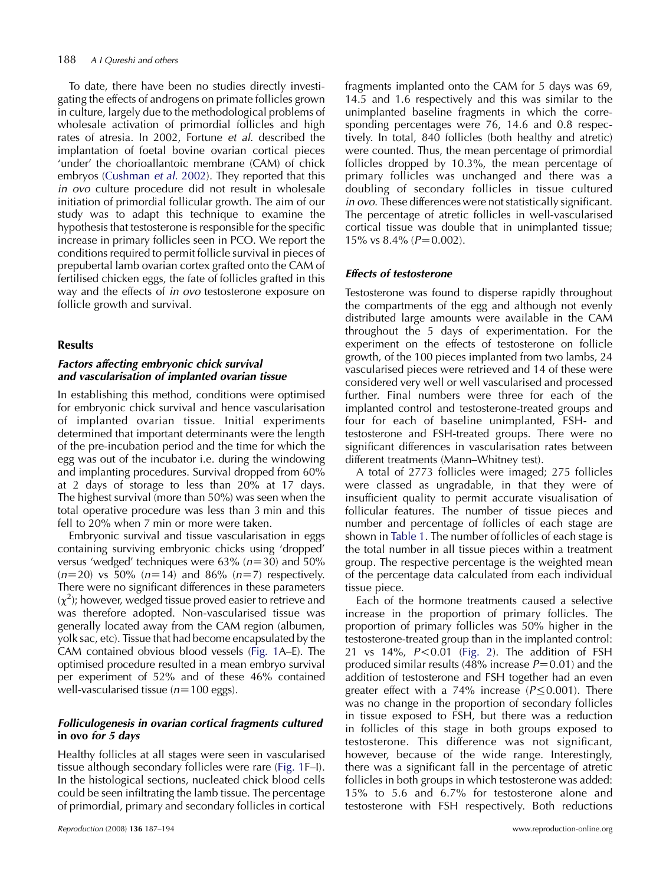To date, there have been no studies directly investigating the effects of androgens on primate follicles grown in culture, largely due to the methodological problems of wholesale activation of primordial follicles and high rates of atresia. In 2002, Fortune et al. described the implantation of foetal bovine ovarian cortical pieces 'under' the chorioallantoic membrane (CAM) of chick embryos ([Cushman](#page-6-0) et al. 2002). They reported that this in ovo culture procedure did not result in wholesale initiation of primordial follicular growth. The aim of our study was to adapt this technique to examine the hypothesis that testosterone is responsible for the specific increase in primary follicles seen in PCO. We report the conditions required to permit follicle survival in pieces of prepubertal lamb ovarian cortex grafted onto the CAM of fertilised chicken eggs, the fate of follicles grafted in this way and the effects of in ovo testosterone exposure on follicle growth and survival.

#### Results

## Factors affecting embryonic chick survival and vascularisation of implanted ovarian tissue

In establishing this method, conditions were optimised for embryonic chick survival and hence vascularisation of implanted ovarian tissue. Initial experiments determined that important determinants were the length of the pre-incubation period and the time for which the egg was out of the incubator i.e. during the windowing and implanting procedures. Survival dropped from 60% at 2 days of storage to less than 20% at 17 days. The highest survival (more than 50%) was seen when the total operative procedure was less than 3 min and this fell to 20% when 7 min or more were taken.

Embryonic survival and tissue vascularisation in eggs containing surviving embryonic chicks using 'dropped' versus 'wedged' techniques were  $63\%$  ( $n=30$ ) and  $50\%$  $(n=20)$  vs 50%  $(n=14)$  and 86%  $(n=7)$  respectively. There were no significant differences in these parameters  $(\chi^2)$ ; however, wedged tissue proved easier to retrieve and was therefore adopted. Non-vascularised tissue was generally located away from the CAM region (albumen, yolk sac, etc). Tissue that had become encapsulated by the CAM contained obvious blood vessels [\(Fig. 1](#page-2-0)A–E). The optimised procedure resulted in a mean embryo survival per experiment of 52% and of these 46% contained well-vascularised tissue ( $n=100$  eggs).

# Folliculogenesis in ovarian cortical fragments cultured in ovo for 5 days

Healthy follicles at all stages were seen in vascularised tissue although secondary follicles were rare [\(Fig. 1](#page-2-0)F–I). In the histological sections, nucleated chick blood cells could be seen infiltrating the lamb tissue. The percentage of primordial, primary and secondary follicles in cortical fragments implanted onto the CAM for 5 days was 69, 14.5 and 1.6 respectively and this was similar to the unimplanted baseline fragments in which the corresponding percentages were 76, 14.6 and 0.8 respectively. In total, 840 follicles (both healthy and atretic) were counted. Thus, the mean percentage of primordial follicles dropped by 10.3%, the mean percentage of primary follicles was unchanged and there was a doubling of secondary follicles in tissue cultured in ovo. These differences were not statistically significant. The percentage of atretic follicles in well-vascularised cortical tissue was double that in unimplanted tissue; 15% vs  $8.4\%$  ( $P=0.002$ ).

# Effects of testosterone

Testosterone was found to disperse rapidly throughout the compartments of the egg and although not evenly distributed large amounts were available in the CAM throughout the 5 days of experimentation. For the experiment on the effects of testosterone on follicle growth, of the 100 pieces implanted from two lambs, 24 vascularised pieces were retrieved and 14 of these were considered very well or well vascularised and processed further. Final numbers were three for each of the implanted control and testosterone-treated groups and four for each of baseline unimplanted, FSH- and testosterone and FSH-treated groups. There were no significant differences in vascularisation rates between different treatments (Mann–Whitney test).

A total of 2773 follicles were imaged; 275 follicles were classed as ungradable, in that they were of insufficient quality to permit accurate visualisation of follicular features. The number of tissue pieces and number and percentage of follicles of each stage are shown in Table 1. The number of follicles of each stage is the total number in all tissue pieces within a treatment group. The respective percentage is the weighted mean of the percentage data calculated from each individual tissue piece.

Each of the hormone treatments caused a selective increase in the proportion of primary follicles. The proportion of primary follicles was 50% higher in the testosterone-treated group than in the implanted control: 21 vs  $14\%$ ,  $P < 0.01$  [\(Fig. 2](#page-3-0)). The addition of FSH produced similar results (48% increase  $P=0.01$ ) and the addition of testosterone and FSH together had an even greater effect with a 74% increase  $(P \le 0.001)$ . There was no change in the proportion of secondary follicles in tissue exposed to FSH, but there was a reduction in follicles of this stage in both groups exposed to testosterone. This difference was not significant, however, because of the wide range. Interestingly, there was a significant fall in the percentage of atretic follicles in both groups in which testosterone was added: 15% to 5.6 and 6.7% for testosterone alone and testosterone with FSH respectively. Both reductions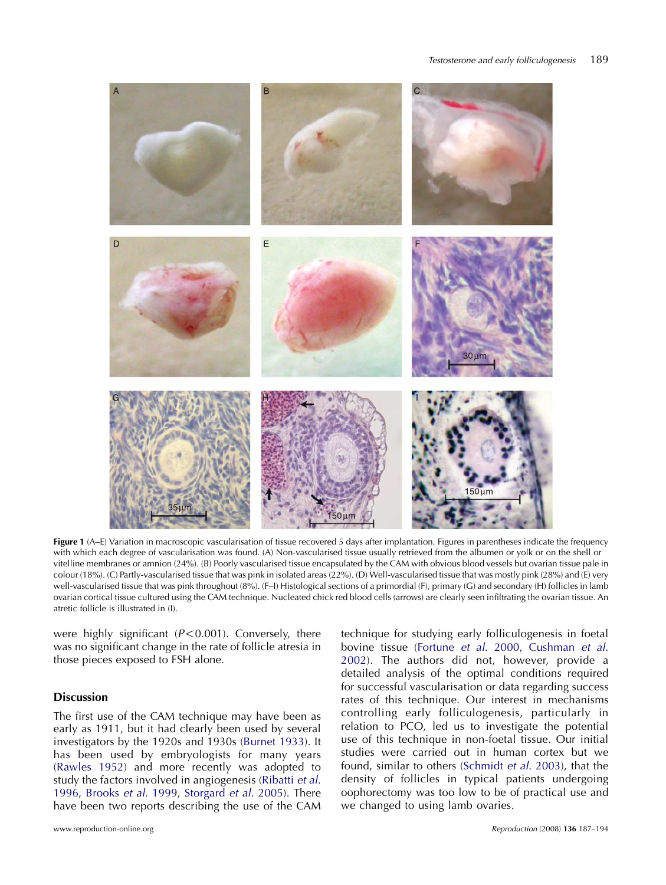<span id="page-2-0"></span>

Figure 1 (A–E) Variation in macroscopic vascularisation of tissue recovered 5 days after implantation. Figures in parentheses indicate the frequency with which each degree of vascularisation was found. (A) Non-vascularised tissue usually retrieved from the albumen or yolk or on the shell or vitelline membranes or amnion (24%). (B) Poorly vascularised tissue encapsulated by the CAM with obvious blood vessels but ovarian tissue pale in colour (18%). (C) Partly-vascularised tissue that was pink in isolated areas (22%). (D) Well-vascularised tissue that was mostly pink (28%) and (E) very well-vascularised tissue that was pink throughout (8%). (F–I) Histological sections of a primordial (F), primary (G) and secondary (H) follicles in lamb ovarian cortical tissue cultured using the CAM technique. Nucleated chick red blood cells (arrows) are clearly seen infiltrating the ovarian tissue. An atretic follicle is illustrated in (I).

were highly significant  $(P<0.001)$ . Conversely, there was no significant change in the rate of follicle atresia in those pieces exposed to FSH alone.

# Discussion

The first use of the CAM technique may have been as early as 1911, but it had clearly been used by several investigators by the 1920s and 1930s ([Burnet 1933](#page-6-0)). It has been used by embryologists for many years ([Rawles 1952\)](#page-6-0) and more recently was adopted to study the factors involved in angiogenesis [\(Ribatti](#page-6-0) et al. [1996](#page-6-0), [Brooks](#page-6-0) et al. 1999, [Storgard](#page-6-0) et al. 2005). There have been two reports describing the use of the CAM technique for studying early folliculogenesis in foetal bovine tissue [\(Fortune](#page-6-0) et al. 2000, [Cushman](#page-6-0) et al. [2002\)](#page-6-0). The authors did not, however, provide a detailed analysis of the optimal conditions required for successful vascularisation or data regarding success rates of this technique. Our interest in mechanisms controlling early folliculogenesis, particularly in relation to PCO, led us to investigate the potential use of this technique in non-foetal tissue. Our initial studies were carried out in human cortex but we found, similar to others [\(Schmidt](#page-6-0) et al. 2003), that the density of follicles in typical patients undergoing oophorectomy was too low to be of practical use and we changed to using lamb ovaries.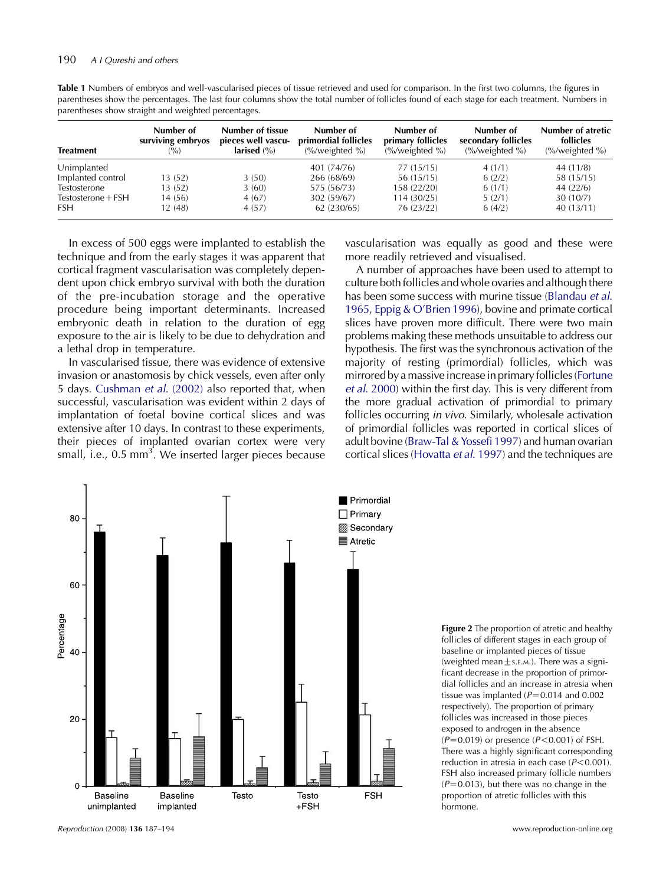<span id="page-3-0"></span>Table 1 Numbers of embryos and well-vascularised pieces of tissue retrieved and used for comparison. In the first two columns, the figures in parentheses show the percentages. The last four columns show the total number of follicles found of each stage for each treatment. Numbers in parentheses show straight and weighted percentages.

| <b>Treatment</b>     | Number of<br>surviving embryos<br>(° <sub>o</sub> ) | Number of tissue<br>pieces well vascu-<br>larised $(\% )$ | Number of<br>primordial follicles<br>$\frac{\%}{\mathrm{weighted}}$ % | Number of<br>primary follicles<br>$\frac{\frac{6}{2}}{100}$ (%) weighted %) | Number of<br>secondary follicles<br>$\frac{\frac{6}{2}}{\sqrt{2}}$ (%/weighted %) | Number of atretic<br>follicles<br>$\frac{\%}{\mathrm{weighted}}$ % |
|----------------------|-----------------------------------------------------|-----------------------------------------------------------|-----------------------------------------------------------------------|-----------------------------------------------------------------------------|-----------------------------------------------------------------------------------|--------------------------------------------------------------------|
| Unimplanted          |                                                     |                                                           | 401 (74/76)                                                           | 77 (15/15)                                                                  | 4(1/1)                                                                            | 44 (11/8)                                                          |
| Implanted control    | 13 (52)                                             | 3(50)                                                     | 266 (68/69)                                                           | 56 (15/15)                                                                  | 6(2/2)                                                                            | 58 (15/15)                                                         |
| Testosterone         | 13(52)                                              | 3(60)                                                     | 575 (56/73)                                                           | 158 (22/20)                                                                 | 6(1/1)                                                                            | 44(22/6)                                                           |
| $Testosterone + FSH$ | 14 (56)                                             | 4(67)                                                     | 302 (59/67)                                                           | 114(30/25)                                                                  | 5(2/1)                                                                            | 30(10/7)                                                           |
| <b>FSH</b>           | 12 (48)                                             | 4(57)                                                     | 62 (230/65)                                                           | 76 (23/22)                                                                  | 6(4/2)                                                                            | 40(13/11)                                                          |

In excess of 500 eggs were implanted to establish the technique and from the early stages it was apparent that cortical fragment vascularisation was completely dependent upon chick embryo survival with both the duration of the pre-incubation storage and the operative procedure being important determinants. Increased embryonic death in relation to the duration of egg exposure to the air is likely to be due to dehydration and a lethal drop in temperature.

In vascularised tissue, there was evidence of extensive invasion or anastomosis by chick vessels, even after only 5 days. [Cushman](#page-6-0) et al. (2002) also reported that, when successful, vascularisation was evident within 2 days of implantation of foetal bovine cortical slices and was extensive after 10 days. In contrast to these experiments, their pieces of implanted ovarian cortex were very small, i.e., 0.5 mm<sup>3</sup>. We inserted larger pieces because

vascularisation was equally as good and these were more readily retrieved and visualised.

A number of approaches have been used to attempt to culture both follicles and whole ovaries and although there has been some success with murine tissue ([Blandau](#page-6-0) et al. [1965](#page-6-0), [Eppig & O'Brien 1996](#page-6-0)), bovine and primate cortical slices have proven more difficult. There were two main problems making these methods unsuitable to address our hypothesis. The first was the synchronous activation of the majority of resting (primordial) follicles, which was mirrored bya massive increasein primary follicles [\(Fortune](#page-6-0) et al[. 2000\)](#page-6-0) within the first day. This is very different from the more gradual activation of primordial to primary follicles occurring in vivo. Similarly, wholesale activation of primordial follicles was reported in cortical slices of adult bovine [\(Braw-Tal & Yossefi 1997](#page-6-0)) and human ovarian cortical slices ([Hovatta](#page-6-0) et al. 1997) and the techniques are



Figure 2 The proportion of atretic and healthy follicles of different stages in each group of baseline or implanted pieces of tissue (weighted mean $\pm$ s.E.M.). There was a significant decrease in the proportion of primordial follicles and an increase in atresia when tissue was implanted  $(P=0.014$  and 0.002 respectively). The proportion of primary follicles was increased in those pieces exposed to androgen in the absence  $(P=0.019)$  or presence  $(P<0.001)$  of FSH. There was a highly significant corresponding reduction in atresia in each case  $(P< 0.001)$ . FSH also increased primary follicle numbers  $(P=0.013)$ , but there was no change in the proportion of atretic follicles with this hormone.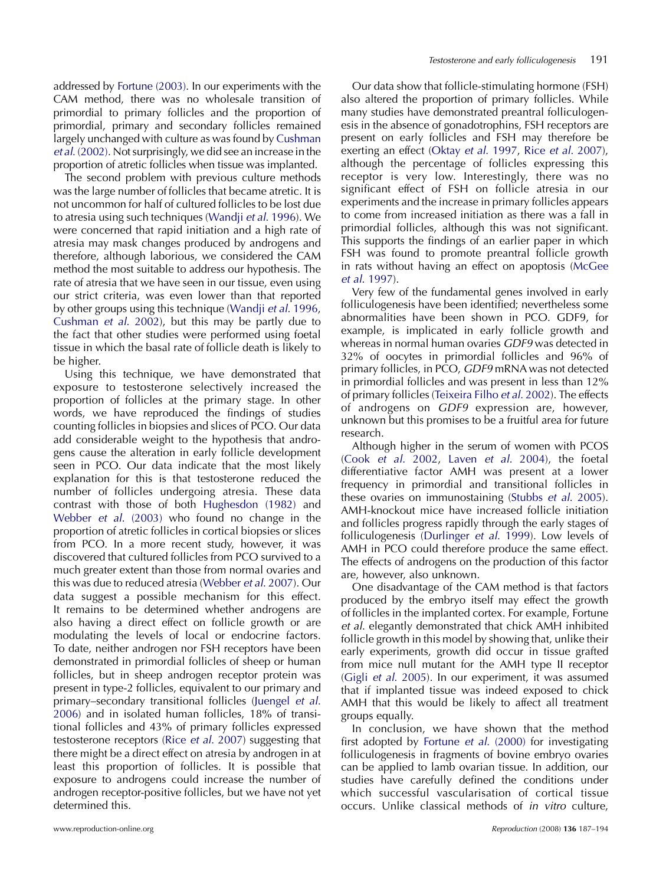addressed by [Fortune \(2003\)](#page-6-0). In our experiments with the CAM method, there was no wholesale transition of primordial to primary follicles and the proportion of primordial, primary and secondary follicles remained largely unchanged with culture as was found by [Cushman](#page-6-0) et al[. \(2002\)](#page-6-0). Not surprisingly, we did see an increase in the proportion of atretic follicles when tissue was implanted.

The second problem with previous culture methods was the large number of follicles that became atretic. It is not uncommon for half of cultured follicles to be lost due to atresia using such techniques [\(Wandji](#page-7-0) et al. 1996). We were concerned that rapid initiation and a high rate of atresia may mask changes produced by androgens and therefore, although laborious, we considered the CAM method the most suitable to address our hypothesis. The rate of atresia that we have seen in our tissue, even using our strict criteria, was even lower than that reported by other groups using this technique ([Wandji](#page-7-0) et al. 1996, [Cushman](#page-6-0) et al. 2002), but this may be partly due to the fact that other studies were performed using foetal tissue in which the basal rate of follicle death is likely to be higher.

Using this technique, we have demonstrated that exposure to testosterone selectively increased the proportion of follicles at the primary stage. In other words, we have reproduced the findings of studies counting follicles in biopsies and slices of PCO. Our data add considerable weight to the hypothesis that androgens cause the alteration in early follicle development seen in PCO. Our data indicate that the most likely explanation for this is that testosterone reduced the number of follicles undergoing atresia. These data contrast with those of both [Hughesdon \(1982\)](#page-6-0) and Webber et al[. \(2003\)](#page-7-0) who found no change in the proportion of atretic follicles in cortical biopsies or slices from PCO. In a more recent study, however, it was discovered that cultured follicles from PCO survived to a much greater extent than those from normal ovaries and this was due to reduced atresia [\(Webber](#page-7-0) et al. 2007). Our data suggest a possible mechanism for this effect. It remains to be determined whether androgens are also having a direct effect on follicle growth or are modulating the levels of local or endocrine factors. To date, neither androgen nor FSH receptors have been demonstrated in primordial follicles of sheep or human follicles, but in sheep androgen receptor protein was present in type-2 follicles, equivalent to our primary and primary–secondary transitional follicles ([Juengel](#page-6-0) et al. [2006\)](#page-6-0) and in isolated human follicles, 18% of transitional follicles and 43% of primary follicles expressed testosterone receptors (Rice et al[. 2007](#page-6-0)) suggesting that there might be a direct effect on atresia by androgen in at least this proportion of follicles. It is possible that exposure to androgens could increase the number of androgen receptor-positive follicles, but we have not yet determined this.

Our data show that follicle-stimulating hormone (FSH) also altered the proportion of primary follicles. While many studies have demonstrated preantral folliculogenesis in the absence of gonadotrophins, FSH receptors are present on early follicles and FSH may therefore be exerting an effect (Oktay et al[. 1997](#page-6-0), Rice et al[. 2007](#page-6-0)), although the percentage of follicles expressing this receptor is very low. Interestingly, there was no significant effect of FSH on follicle atresia in our experiments and the increase in primary follicles appears to come from increased initiation as there was a fall in primordial follicles, although this was not significant. This supports the findings of an earlier paper in which FSH was found to promote preantral follicle growth in rats without having an effect on apoptosis [\(McGee](#page-6-0) et al[. 1997](#page-6-0)).

Very few of the fundamental genes involved in early folliculogenesis have been identified; nevertheless some abnormalities have been shown in PCO. GDF9, for example, is implicated in early follicle growth and whereas in normal human ovaries GDF9 was detected in 32% of oocytes in primordial follicles and 96% of primary follicles, in PCO, GDF9 mRNA was not detected in primordial follicles and was present in less than 12% of primary follicles ([Teixeira Filho](#page-7-0) et al. 2002). The effects of androgens on GDF9 expression are, however, unknown but this promises to be a fruitful area for future research.

Although higher in the serum of women with PCOS (Cook et al[. 2002,](#page-6-0) Laven et al[. 2004](#page-6-0)), the foetal differentiative factor AMH was present at a lower frequency in primordial and transitional follicles in these ovaries on immunostaining (Stubbs et al[. 2005](#page-6-0)). AMH-knockout mice have increased follicle initiation and follicles progress rapidly through the early stages of folliculogenesis ([Durlinger](#page-6-0) et al. 1999). Low levels of AMH in PCO could therefore produce the same effect. The effects of androgens on the production of this factor are, however, also unknown.

One disadvantage of the CAM method is that factors produced by the embryo itself may effect the growth of follicles in the implanted cortex. For example, Fortune et al. elegantly demonstrated that chick AMH inhibited follicle growth in this model by showing that, unlike their early experiments, growth did occur in tissue grafted from mice null mutant for the AMH type II receptor (Gigli et al[. 2005](#page-6-0)). In our experiment, it was assumed that if implanted tissue was indeed exposed to chick AMH that this would be likely to affect all treatment groups equally.

In conclusion, we have shown that the method first adopted by Fortune et al[. \(2000\)](#page-6-0) for investigating folliculogenesis in fragments of bovine embryo ovaries can be applied to lamb ovarian tissue. In addition, our studies have carefully defined the conditions under which successful vascularisation of cortical tissue occurs. Unlike classical methods of in vitro culture,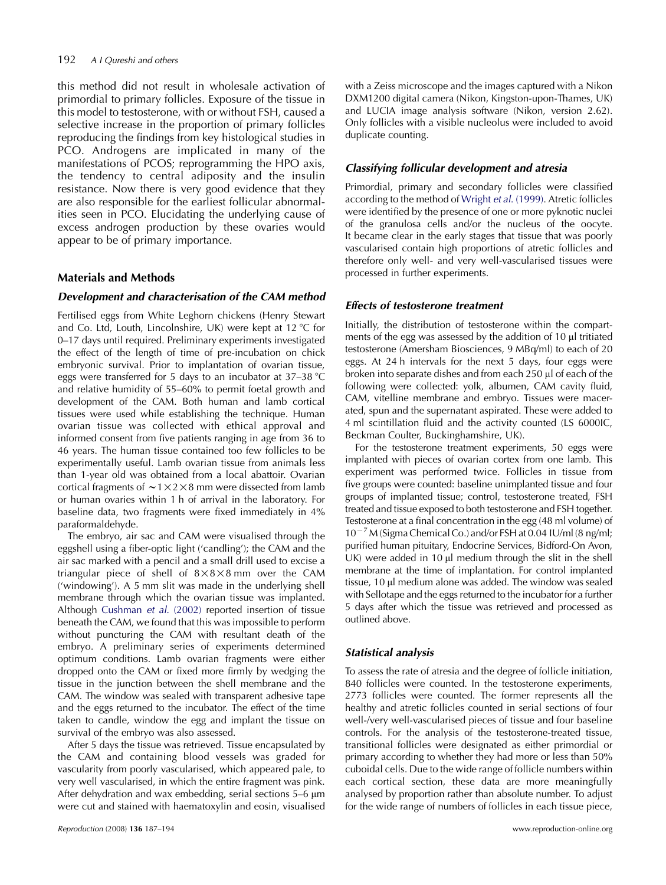this method did not result in wholesale activation of primordial to primary follicles. Exposure of the tissue in this model to testosterone, with or without FSH, caused a selective increase in the proportion of primary follicles reproducing the findings from key histological studies in PCO. Androgens are implicated in many of the manifestations of PCOS; reprogramming the HPO axis, the tendency to central adiposity and the insulin resistance. Now there is very good evidence that they are also responsible for the earliest follicular abnormalities seen in PCO. Elucidating the underlying cause of excess androgen production by these ovaries would appear to be of primary importance.

# Materials and Methods

## Development and characterisation of the CAM method

Fertilised eggs from White Leghorn chickens (Henry Stewart and Co. Ltd, Louth, Lincolnshire, UK) were kept at  $12 \text{ °C}$  for 0–17 days until required. Preliminary experiments investigated the effect of the length of time of pre-incubation on chick embryonic survival. Prior to implantation of ovarian tissue, eggs were transferred for 5 days to an incubator at  $37-38$  °C and relative humidity of 55–60% to permit foetal growth and development of the CAM. Both human and lamb cortical tissues were used while establishing the technique. Human ovarian tissue was collected with ethical approval and informed consent from five patients ranging in age from 36 to 46 years. The human tissue contained too few follicles to be experimentally useful. Lamb ovarian tissue from animals less than 1-year old was obtained from a local abattoir. Ovarian cortical fragments of  $\sim$  1  $\times$  2  $\times$  8 mm were dissected from lamb or human ovaries within 1 h of arrival in the laboratory. For baseline data, two fragments were fixed immediately in 4% paraformaldehyde.

The embryo, air sac and CAM were visualised through the eggshell using a fiber-optic light ('candling'); the CAM and the air sac marked with a pencil and a small drill used to excise a triangular piece of shell of  $8 \times 8 \times 8$  mm over the CAM ('windowing'). A 5 mm slit was made in the underlying shell membrane through which the ovarian tissue was implanted. Although [Cushman](#page-6-0) et al. (2002) reported insertion of tissue beneath the CAM, we found that this was impossible to perform without puncturing the CAM with resultant death of the embryo. A preliminary series of experiments determined optimum conditions. Lamb ovarian fragments were either dropped onto the CAM or fixed more firmly by wedging the tissue in the junction between the shell membrane and the CAM. The window was sealed with transparent adhesive tape and the eggs returned to the incubator. The effect of the time taken to candle, window the egg and implant the tissue on survival of the embryo was also assessed.

After 5 days the tissue was retrieved. Tissue encapsulated by the CAM and containing blood vessels was graded for vascularity from poorly vascularised, which appeared pale, to very well vascularised, in which the entire fragment was pink. After dehydration and wax embedding, serial sections  $5-6 \mu m$ were cut and stained with haematoxylin and eosin, visualised

with a Zeiss microscope and the images captured with a Nikon DXM1200 digital camera (Nikon, Kingston-upon-Thames, UK) and LUCIA image analysis software (Nikon, version 2.62). Only follicles with a visible nucleolus were included to avoid duplicate counting.

## Classifying follicular development and atresia

Primordial, primary and secondary follicles were classified according to the method of Wright et al[. \(1999\).](#page-7-0) Atretic follicles were identified by the presence of one or more pyknotic nuclei of the granulosa cells and/or the nucleus of the oocyte. It became clear in the early stages that tissue that was poorly vascularised contain high proportions of atretic follicles and therefore only well- and very well-vascularised tissues were processed in further experiments.

## Effects of testosterone treatment

Initially, the distribution of testosterone within the compartments of the egg was assessed by the addition of  $10 \mu l$  tritiated testosterone (Amersham Biosciences, 9 MBq/ml) to each of 20 eggs. At 24 h intervals for the next 5 days, four eggs were broken into separate dishes and from each 250 µl of each of the following were collected: yolk, albumen, CAM cavity fluid, CAM, vitelline membrane and embryo. Tissues were macerated, spun and the supernatant aspirated. These were added to 4 ml scintillation fluid and the activity counted (LS 6000IC, Beckman Coulter, Buckinghamshire, UK).

For the testosterone treatment experiments, 50 eggs were implanted with pieces of ovarian cortex from one lamb. This experiment was performed twice. Follicles in tissue from five groups were counted: baseline unimplanted tissue and four groups of implanted tissue; control, testosterone treated, FSH treated and tissue exposed to both testosterone and FSH together. Testosterone at a final concentration in the egg (48 ml volume) of  $10^{-7}$  M (Sigma Chemical Co.) and/or FSH at 0.04 IU/ml (8 ng/ml; purified human pituitary, Endocrine Services, Bidford-On Avon, UK) were added in 10  $\mu$ l medium through the slit in the shell membrane at the time of implantation. For control implanted tissue, 10 µl medium alone was added. The window was sealed with Sellotape and the eggs returned to the incubator for a further 5 days after which the tissue was retrieved and processed as outlined above.

# Statistical analysis

To assess the rate of atresia and the degree of follicle initiation, 840 follicles were counted. In the testosterone experiments, 2773 follicles were counted. The former represents all the healthy and atretic follicles counted in serial sections of four well-/very well-vascularised pieces of tissue and four baseline controls. For the analysis of the testosterone-treated tissue, transitional follicles were designated as either primordial or primary according to whether they had more or less than 50% cuboidal cells. Due to the wide range of follicle numbers within each cortical section, these data are more meaningfully analysed by proportion rather than absolute number. To adjust for the wide range of numbers of follicles in each tissue piece,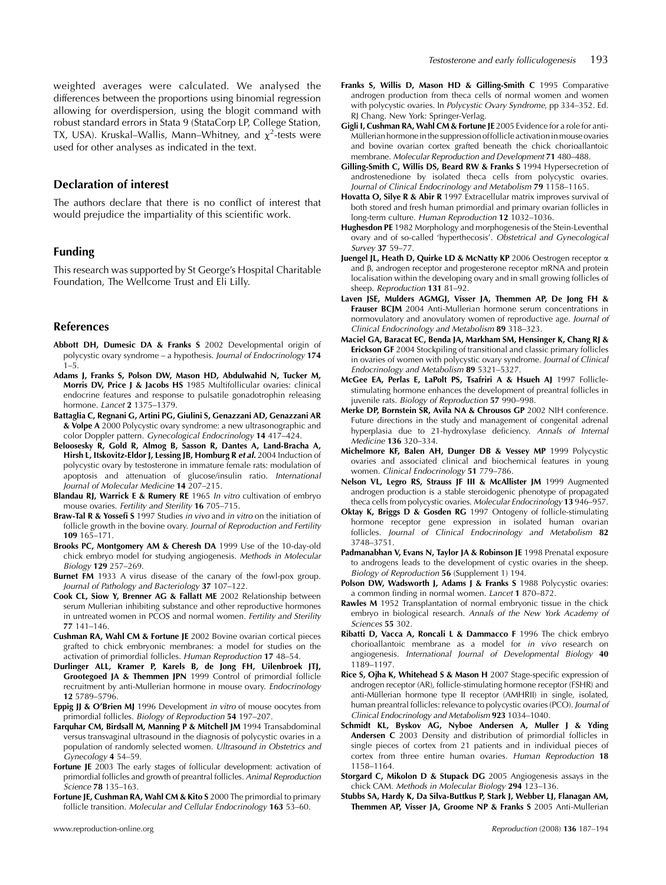<span id="page-6-0"></span>weighted averages were calculated. We analysed the differences between the proportions using binomial regression allowing for overdispersion, using the blogit command with robust standard errors in Stata 9 (StataCorp LP, College Station, TX, USA). Kruskal–Wallis, Mann–Whitney, and  $\chi^2$ -tests were used for other analyses as indicated in the text.

#### Declaration of interest

The authors declare that there is no conflict of interest that would prejudice the impartiality of this scientific work.

## Funding

This research was supported by St George's Hospital Charitable Foundation, The Wellcome Trust and Eli Lilly.

#### References

- Abbott DH, Dumesic DA & Franks S 2002 Developmental origin of polycystic ovary syndrome – a hypothesis. Journal of Endocrinology 174  $1 - 5$
- Adams J, Franks S, Polson DW, Mason HD, Abdulwahid N, Tucker M, Morris DV, Price J & Jacobs HS 1985 Multifollicular ovaries: clinical endocrine features and response to pulsatile gonadotrophin releasing hormone. Lancet 2 1375–1379.
- Battaglia C, Regnani G, Artini PG, Giulini S, Genazzani AD, Genazzani AR & Volpe A 2000 Polycystic ovary syndrome: a new ultrasonographic and color Doppler pattern. Gynecological Endocrinology 14 417–424.
- Beloosesky R, Gold R, Almog B, Sasson R, Dantes A, Land-Bracha A, Hirsh L, Itskovitz-Eldor J, Lessing JB, Homburg R et al. 2004 Induction of polycystic ovary by testosterone in immature female rats: modulation of apoptosis and attenuation of glucose/insulin ratio. International Journal of Molecular Medicine 14 207–215.
- Blandau RJ, Warrick E & Rumery RE 1965 In vitro cultivation of embryo mouse ovaries. Fertility and Sterility 16 705–715.
- Braw-Tal R & Yossefi S 1997 Studies in vivo and in vitro on the initiation of follicle growth in the bovine ovary. Journal of Reproduction and Fertility 109 165–171.
- Brooks PC, Montgomery AM & Cheresh DA 1999 Use of the 10-day-old chick embryo model for studying angiogenesis. Methods in Molecular Biology 129 257–269.
- **Burnet FM** 1933 A virus disease of the canary of the fowl-pox group. Journal of Pathology and Bacteriology 37 107–122.
- Cook CL, Siow Y, Brenner AG & Fallatt ME 2002 Relationship between serum Mullerian inhibiting substance and other reproductive hormones in untreated women in PCOS and normal women. Fertility and Sterility 77 141–146.
- Cushman RA, Wahl CM & Fortune JE 2002 Bovine ovarian cortical pieces grafted to chick embryonic membranes: a model for studies on the activation of primordial follicles. Human Reproduction 17 48–54.
- Durlinger ALL, Kramer P, Karels B, de Jong FH, Uilenbroek JTJ, Grootegoed JA & Themmen JPN 1999 Control of primordial follicle recruitment by anti-Mullerian hormone in mouse ovary. Endocrinology 12 5789–5796.
- Eppig JJ & O'Brien MJ 1996 Development in vitro of mouse oocytes from primordial follicles. Biology of Reproduction 54 197–207.
- Farquhar CM, Birdsall M, Manning P & Mitchell JM 1994 Transabdominal versus transvaginal ultrasound in the diagnosis of polycystic ovaries in a population of randomly selected women. Ultrasound in Obstetrics and Gynecology 4 54–59.
- Fortune JE 2003 The early stages of follicular development: activation of primordial follicles and growth of preantral follicles. Animal Reproduction Science 78 135–163.
- Fortune JE, Cushman RA, Wahl CM & Kito S 2000 The primordial to primary follicle transition. Molecular and Cellular Endocrinology 163 53–60.
- Franks S, Willis D, Mason HD & Gilling-Smith C 1995 Comparative androgen production from theca cells of normal women and women with polycystic ovaries. In Polycystic Ovary Syndrome, pp 334–352. Ed. RJ Chang. New York: Springer-Verlag.
- Gigli I, Cushman RA, Wahl CM & Fortune JE 2005 Evidence for a role for anti-Müllerian hormone in the suppression of follicle activation in mouse ovaries and bovine ovarian cortex grafted beneath the chick chorioallantoic membrane. Molecular Reproduction and Development 71 480–488.
- Gilling-Smith C, Willis DS, Beard RW & Franks S 1994 Hypersecretion of androstenedione by isolated theca cells from polycystic ovaries. Journal of Clinical Endocrinology and Metabolism 79 1158–1165.
- Hovatta O, Silye R & Abir R 1997 Extracellular matrix improves survival of both stored and fresh human primordial and primary ovarian follicles in long-term culture. Human Reproduction 12 1032–1036.
- Hughesdon PE 1982 Morphology and morphogenesis of the Stein-Leventhal ovary and of so-called 'hyperthecosis'. Obstetrical and Gynecological Survey 37 59–77.
- Juengel JL, Heath D, Quirke LD & McNatty KP 2006 Oestrogen receptor a and  $\beta$ , androgen receptor and progesterone receptor mRNA and protein localisation within the developing ovary and in small growing follicles of sheep. Reproduction 131 81-92.
- Laven ISE, Mulders AGMGI, Visser IA, Themmen AP, De Jong FH & Frauser BCJM 2004 Anti-Mullerian hormone serum concentrations in normovulatory and anovulatory women of reproductive age. Journal of Clinical Endocrinology and Metabolism 89 318–323.
- Maciel GA, Baracat EC, Benda JA, Markham SM, Hensinger K, Chang RJ & Erickson GF 2004 Stockpiling of transitional and classic primary follicles in ovaries of women with polycystic ovary syndrome. Journal of Clinical Endocrinology and Metabolism 89 5321–5327.
- McGee EA, Perlas E, LaPolt PS, Tsafriri A & Hsueh AJ 1997 Folliclestimulating hormone enhances the development of preantral follicles in juvenile rats. Biology of Reproduction 57 990–998.
- Merke DP, Bornstein SR, Avila NA & Chrousos GP 2002 NIH conference. Future directions in the study and management of congenital adrenal hyperplasia due to 21-hydroxylase deficiency. Annals of Internal Medicine 136 320–334.
- Michelmore KF, Balen AH, Dunger DB & Vessey MP 1999 Polycystic ovaries and associated clinical and biochemical features in young women. Clinical Endocrinology 51 779-786.
- Nelson VL, Legro RS, Strauss JF III & McAllister JM 1999 Augmented androgen production is a stable steroidogenic phenotype of propagated theca cells from polycystic ovaries. Molecular Endocrinology 13 946–957.
- Oktay K, Briggs D & Gosden RG 1997 Ontogeny of follicle-stimulating hormone receptor gene expression in isolated human ovarian follicles. Journal of Clinical Endocrinology and Metabolism 82 3748–3751.
- Padmanabhan V, Evans N, Taylor JA & Robinson JE 1998 Prenatal exposure to androgens leads to the development of cystic ovaries in the sheep. Biology of Reproduction 56 (Supplement 1) 194.
- Polson DW, Wadsworth J, Adams J & Franks S 1988 Polycystic ovaries: a common finding in normal women. Lancet 1 870–872.
- Rawles M 1952 Transplantation of normal embryonic tissue in the chick embryo in biological research. Annals of the New York Academy of Sciences 55 302.
- Ribatti D, Vacca A, Roncali L & Dammacco F 1996 The chick embryo chorioallantoic membrane as a model for in vivo research on angiogenesis. International Journal of Developmental Biology 40 1189–1197.
- Rice S, Ojha K, Whitehead S & Mason H 2007 Stage-specific expression of androgen receptor (AR), follicle-stimulating hormone receptor (FSHR) and anti-Müllerian hormone type II receptor (AMHRII) in single, isolated, human preantral follicles: relevance to polycystic ovaries (PCO). Journal of Clinical Endocrinology and Metabolism 923 1034–1040.
- Schmidt KL, Byskov AG, Nyboe Andersen A, Muller J & Yding Andersen C 2003 Density and distribution of primordial follicles in single pieces of cortex from 21 patients and in individual pieces of cortex from three entire human ovaries. Human Reproduction 18 1158–1164.
- Storgard C, Mikolon D & Stupack DG 2005 Angiogenesis assays in the chick CAM. Methods in Molecular Biology 294 123–136.
- Stubbs SA, Hardy K, Da Silva-Buttkus P, Stark J, Webber LJ, Flanagan AM, Themmen AP, Visser JA, Groome NP & Franks S 2005 Anti-Mullerian